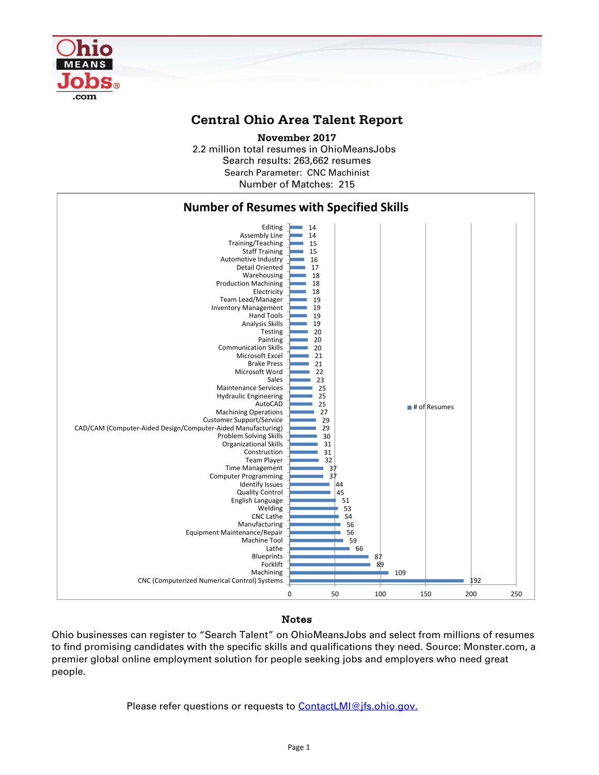

## **Central Ohio Area Talent Report**

2.2 million total resumes in OhioMeansJobs Search results: 263,662 resumes Number of Matches: 215 **November 2017** Search Parameter: CNC Machinist



## Notes

Ohio businesses can register to "Search Talent" on OhioMeansJobs and select from millions of resumes to find promising candidates with the specific skills and qualifications they need. Source: Monster.com, a premier global online employment solution for people seeking jobs and employers who need great people.

Please refer questions or requests to [ContactLMI@jfs.ohio.gov.](mailto:ContactLMI@jfs.ohio.gov.)